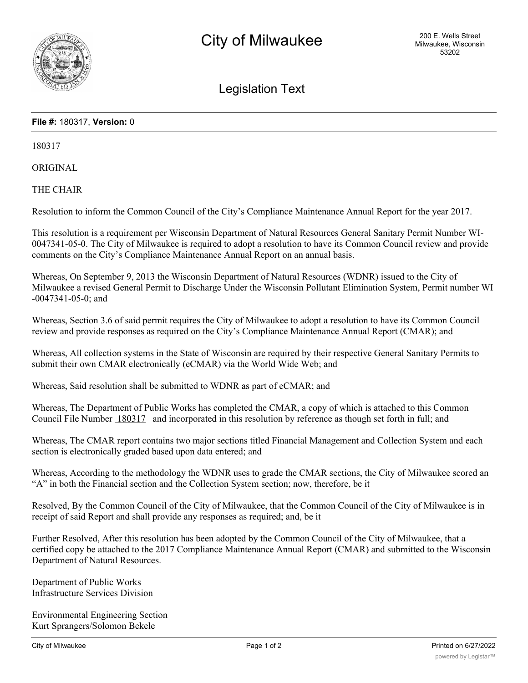

Legislation Text

## **File #:** 180317, **Version:** 0

180317

ORIGINAL

THE CHAIR

Resolution to inform the Common Council of the City's Compliance Maintenance Annual Report for the year 2017.

This resolution is a requirement per Wisconsin Department of Natural Resources General Sanitary Permit Number WI-0047341-05-0. The City of Milwaukee is required to adopt a resolution to have its Common Council review and provide comments on the City's Compliance Maintenance Annual Report on an annual basis.

Whereas, On September 9, 2013 the Wisconsin Department of Natural Resources (WDNR) issued to the City of Milwaukee a revised General Permit to Discharge Under the Wisconsin Pollutant Elimination System, Permit number WI -0047341-05-0; and

Whereas, Section 3.6 of said permit requires the City of Milwaukee to adopt a resolution to have its Common Council review and provide responses as required on the City's Compliance Maintenance Annual Report (CMAR); and

Whereas, All collection systems in the State of Wisconsin are required by their respective General Sanitary Permits to submit their own CMAR electronically (eCMAR) via the World Wide Web; and

Whereas, Said resolution shall be submitted to WDNR as part of eCMAR; and

Whereas, The Department of Public Works has completed the CMAR, a copy of which is attached to this Common Council File Number 180317 and incorporated in this resolution by reference as though set forth in full; and

Whereas, The CMAR report contains two major sections titled Financial Management and Collection System and each section is electronically graded based upon data entered; and

Whereas, According to the methodology the WDNR uses to grade the CMAR sections, the City of Milwaukee scored an "A" in both the Financial section and the Collection System section; now, therefore, be it

Resolved, By the Common Council of the City of Milwaukee, that the Common Council of the City of Milwaukee is in receipt of said Report and shall provide any responses as required; and, be it

Further Resolved, After this resolution has been adopted by the Common Council of the City of Milwaukee, that a certified copy be attached to the 2017 Compliance Maintenance Annual Report (CMAR) and submitted to the Wisconsin Department of Natural Resources.

Department of Public Works Infrastructure Services Division

Environmental Engineering Section Kurt Sprangers/Solomon Bekele